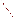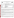**UNITED STATES ENVIRONMENTAL PROTECTION AGENCY** 

Office of Research and Development Washington, D.C. 20460

![](_page_1_Picture_3.jpeg)

# **ENVIRONMENTAL TECHNOLOGY VERIFICATION PROGRAM VERIFICATION STATEMENT**

| <b>TECHNOLOGY TYPE:</b>     | POLYCHLORINATED BIPHENYL (PCB) FIELD ANALYTICAL<br><b>TECHNIQUES</b>                    |
|-----------------------------|-----------------------------------------------------------------------------------------|
| APPLICATION:                | <b>MEASUREMENT OF PCBs IN SOILS AND SOLVENT EXTRACTS</b>                                |
| TECHNOLOGY NAME:            | D TECH PCB TEST KIT                                                                     |
| COMPANY:<br><b>ADDRESS:</b> | STRATEGIC DIAGNOSTICS INC.<br><b>111 PENCADER DRIVE</b><br><b>NEWARK, DE 19702-3322</b> |
| PHONE:                      | 302) 456-6789                                                                           |

The U.S. Environmental Protection Agency (EPA) has created a program to facilitate the deployment of innovative technologies through performance verification and information dissemination. The goal of the Environmental Technology Verification (ETV) Program is to further environmental protection by substantially accelerating the acceptance and use of improved and more cost-effective technologies. The ETV Program is intended to assist and inform those involved in the design, distribution, permitting, and purchase of environmental technologies. This document summarizes the results of a demonstration of the Strategic Diagnostics Inc. (SDI) D TECH PCB test kit.

## **PROGRAM OPERATION**

EPA, in partnership with recognized testing organizations, objectively and systematically evaluates the performance of innovative technologies. Together, with the full participation of the technology developer, they develop plans, conduct tests, collect and analyze data, and report findings. The evaluations are conducted according to a rigorous demonstration plan and established protocols for quality assurance. EPA's National Exposure Research Laboratory, which conducts demonstrations of field characterization and monitoring technologies, with the support of the U.S. Department of Energy's (DOE's) Environmental Management (EM) program, selected Oak Ridge National Laboratory as the testing organization for the performance verification of polychlorinated biphenyl (PCB) field analytical techniques.

## **DEMONSTRATION DESCRIPTION**

In July 1997, the performance of six PCB field analytical techniques was determined under field conditions. Each technology was independently evaluated by comparing field analysis results to those obtained using approved reference methods. Performance evaluation (PE) samples were also used to assess independently the accuracy and comparability of each technology.

The demonstration was designed to detect and measure PCBs in soil and solvent extracts. The demonstration was conducted at the Oak Ridge National Laboratory (ORNL) in Oak Ridge, Tennessee, from July 22 through July 29. The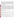study was conducted under two environmental conditions. The first site was outdoors, with naturally fluctuating temperatures and relative humidity conditions. The second site was inside a controlled environmental chamber, with generally cooler temperatures and lower relative humidities. Multiple soil types, collected from sites in Ohio, Kentucky, and Tennessee, were analyzed in this study. Solutions of PCBs were also analyzed to simulate extracted surface wipe samples. The results of the soil and extract analyses conducted under field conditions by the technology were compared with results from analyses of homogeneous replicate samples conducted by conventional EPA SW-846 methodology in an approved reference laboratory. Details of the demonstration, including a data summary and discussion of results, may be found in the report entitled *Environmental Technology Verification Report: Immunoassay Kit, Strategic Diagnostics, Inc., D TECH PCB Test Kit,* EPA/600/R-98/112.

### **TECHNOLOGY DESCRIPTION**

The D TECH PCB test kit is designed to provide quick, semi-quantitative, and reliable test results for making environmental decisions. The D TECH kit utilizes immunoassay technology to detect trace amounts of PCBs in environmental samples. This test specifically detects Aroclors 1254, 1260, and 1262 equally; reacts well with Aroclors 1242, 1248, and 1268; reacts moderately with Aroclors 1232 and 1016; and shows little reactivity to Aroclor 1221. The test is calibrated for Aroclor 1254 and has conversions for Aroclors 1242 and 1248. The D TECH PCB test kit uses latex particles as the solid support component of the assay. With this immunoassay system, antibodies are immobilized on the thousands of latex particles that are free to interact and react with the sample solution. To initiate the test, a sample solution (soil extract) is added to a dry mixture of antibody-coated latex particles and enzyme conjugate. A competitive reaction for binding sites on the antibodies then occurs between the analyte PCBs (in the sample solution) and the added enzyme conjugate. When the reaction is complete, the particles are collected on the membrane surface of a collection cup and briefly washed. The test is completed by adding a color developing solution to the surface of the collection cup. As with the other immunoassay systems, the enzyme conjugate produces a color change reaction which can then be detected and measured. The darker the color, the less analyte PCB is present in the sample. Measurement of the test results can be completed instrumentally with a reflectance meter or visually with the included color card.

## **VERIFICATION OF PERFORMANCE**

The following performance characteristics of the D TECH PCB test kit were observed:

*Throughput:* Throughput was 11 samples/hour in the chamber and 15 samples/hour outdoors. This rate included sample preparation and analysis.

*Ease of Use:* Three operators analyzed samples during the demonstration, but the technology can be run by a single operator. Minimal training (2 to 4 hours) is required to operate the D TECH kit, provided the user has a fundamental understanding of basic chemical and field analytical techniques.

*Completeness:* The D TECH kit generated results for all 232 PCB samples, for a completeness of 100%.

*Blank results:* PCBs were detected above the lowest reporting interval for five of the eight blank soil samples. Therefore, the percentage of false positive results was 62%. Two false positive results (25%) were reported for the extract samples. The D TECH kit reported 0.5% false negative results for soils and 0% for extracts.

*Precision:* The overall precision, based on the percentage of combined sample sets where all four replicates were reported as the same interval, was 44% for the PE soils, 21% for the environmental soils, and 25% for the extracts.